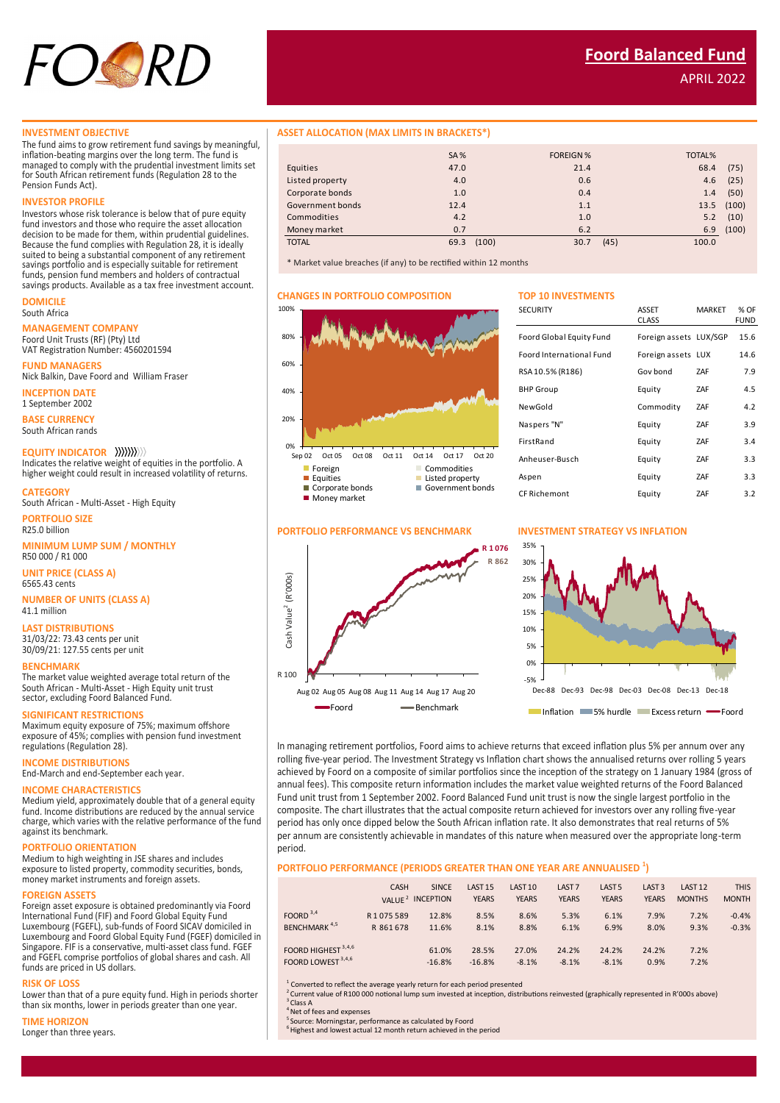

APRIL 2022

## **INVESTMENT OBJECTIVE**

The fund aims to grow retirement fund savings by meaningful, inflation-beating margins over the long term. The fund is managed to comply with the prudential investment limits set for South African retirement funds (Regulation 28 to the Pension Funds Act).

#### **INVESTOR PROFILE**

Investors whose risk tolerance is below that of pure equity fund investors and those who require the asset allocation decision to be made for them, within prudential guidelines. Because the fund complies with Regulation 28, it is ideally suited to being a substantial component of any retirement savings portfolio and is especially suitable for retirement funds, pension fund members and holders of contractual savings products. Available as a tax free investment account.

#### **DOMICILE** South Africa

**MANAGEMENT COMPANY**

Foord Unit Trusts (RF) (Pty) Ltd VAT Registration Number: 4560201594

**FUND MANAGERS** Nick Balkin, Dave Foord and William Fraser

**INCEPTION DATE** 1 September 2002

**BASE CURRENCY**

South African rands

## **EQUITY INDICATOR**

Indicates the relative weight of equities in the portfolio. A higher weight could result in increased volatility of returns.

**CATEGORY**

**PORTFOLIO SIZE** South African - Multi-Asset - High Equity

R25.0 billion

# **MINIMUM LUMP SUM / MONTHLY**

R50 000 / R1 000 **UNIT PRICE (CLASS A)**

6565.43 cents **NUMBER OF UNITS (CLASS A)** 41.1 million

**LAST DISTRIBUTIONS**

31/03/22: 73.43 cents per unit 30/09/21: 127.55 cents per unit

## **BENCHMARK**

The market value weighted average total return of the South African - Multi-Asset - High Equity unit trust sector, excluding Foord Balanced Fund.

#### **SIGNIFICANT RESTRICTIONS**

Maximum equity exposure of 75%; maximum offshore exposure of 45%; complies with pension fund investment regulations (Regulation 28).

## **INCOME DISTRIBUTIONS**

End-March and end-September each year.

## **INCOME CHARACTERISTICS**

Medium yield, approximately double that of a general equity fund. Income distributions are reduced by the annual service charge, which varies with the relative performance of the fund against its benchmark.

## **PORTFOLIO ORIENTATION**

Medium to high weighting in JSE shares and includes exposure to listed property, commodity securities, bonds, money market instruments and foreign assets.

## **FOREIGN ASSETS**

Foreign asset exposure is obtained predominantly via Foord International Fund (FIF) and Foord Global Equity Fund Luxembourg (FGEFL), sub-funds of Foord SICAV domiciled in Luxembourg and Foord Global Equity Fund (FGEF) domiciled in Singapore. FIF is a conservative, multi-asset class fund. FGEF and FGEFL comprise portfolios of global shares and cash. All funds are priced in US dollars.

#### **RISK OF LOSS**

Lower than that of a pure equity fund. High in periods shorter than six months, lower in periods greater than one year.

### **TIME HORIZON**

Longer than three years.

## **ASSET ALLOCATION (MAX LIMITS IN BRACKETS\*)**

|                  | <b>SA%</b>    | <b>FOREIGN%</b> | <b>TOTAL%</b> |
|------------------|---------------|-----------------|---------------|
| Equities         | 47.0          | 21.4            | 68.4<br>(75)  |
| Listed property  | 4.0           | 0.6             | (25)<br>4.6   |
| Corporate bonds  | 1.0           | 0.4             | (50)<br>1.4   |
| Government bonds | 12.4          | 1.1             | 13.5 (100)    |
| Commodities      | 4.2           | 1.0             | (10)<br>5.2   |
| Money market     | 0.7           | 6.2             | (100)<br>6.9  |
| <b>TOTAL</b>     | (100)<br>69.3 | (45)<br>30.7    | 100.0         |

\* Market value breaches (if any) to be rectified within 12 months

## **CHANGES IN PORTFOLIO COMPOSITION TOP 10 INVESTMENTS**

| <b>SECURITY</b>          | <b>ASSET</b><br><b>CLASS</b> | <b>MARKET</b> | % OF<br>FUND |
|--------------------------|------------------------------|---------------|--------------|
| Foord Global Equity Fund | Foreign assets LUX/SGP       |               | 15.6         |
| Foord International Fund | Foreign assets LUX           |               | 14.6         |
| RSA 10.5% (R186)         | Gov bond                     | ZAF           | 7.9          |
| <b>BHP Group</b>         | Equity                       | ZAF           | 4.5          |
| NewGold                  | Commodity                    | ZAF           | 4.2          |
| Naspers "N"              | Equity                       | ZAF           | 3.9          |
| FirstRand                | Equity                       | ZAF           | 3.4          |
| Anheuser-Busch           | Equity                       | ZAF           | 3.3          |
| Aspen                    | Equity                       | ZAF           | 3.3          |
| <b>CF Richemont</b>      | Equity                       | ZAF           | 3.2          |



Sep 02 Oct 05 Oct 08 Oct 11 Oct 14 Oct 17 Oct 20 ■ Foreign Commodities<br>■ Equities Busines ■ Equities ■ Listed property<br>■ Corporate bonds ■ Government bo

 $\blacksquare$  Government bonds

 $0\%$   $\frac{1}{\text{Sen }02}$ 

**Money market** 

20%

40%

60%

80%

100%





Inflation 5% hurdle Excess return Foord

In managing retirement portfolios, Foord aims to achieve returns that exceed inflation plus 5% per annum over any rolling five-year period. The Investment Strategy vs Inflation chart shows the annualised returns over rolling 5 years achieved by Foord on a composite of similar portfolios since the inception of the strategy on 1 January 1984 (gross of annual fees). This composite return information includes the market value weighted returns of the Foord Balanced Fund unit trust from 1 September 2002. Foord Balanced Fund unit trust is now the single largest portfolio in the composite. The chart illustrates that the actual composite return achieved for investors over any rolling five-year period has only once dipped below the South African inflation rate. It also demonstrates that real returns of 5% per annum are consistently achievable in mandates of this nature when measured over the appropriate long-term period.

## **PORTFOLIO PERFORMANCE (PERIODS GREATER THAN ONE YEAR ARE ANNUALISED <sup>1</sup> )**

|                                           | <b>CASH</b>          | <b>SINCE</b><br>VALUE <sup>2</sup> INCEPTION | LAST <sub>15</sub><br><b>YEARS</b> | LAST <sub>10</sub><br><b>YEARS</b> | LAST <sub>7</sub><br><b>YEARS</b> | LAST <sub>5</sub><br><b>YEARS</b> | LAST <sub>3</sub><br><b>YEARS</b> | LAST <sub>12</sub><br><b>MONTHS</b> | <b>THIS</b><br><b>MONTH</b> |
|-------------------------------------------|----------------------|----------------------------------------------|------------------------------------|------------------------------------|-----------------------------------|-----------------------------------|-----------------------------------|-------------------------------------|-----------------------------|
| FOORD $3,4$<br>BENCHMARK <sup>4,5</sup>   | R1075589<br>R 861678 | 12.8%<br>11.6%                               | 8.5%<br>8.1%                       | 8.6%<br>8.8%                       | 5.3%<br>6.1%                      | 6.1%<br>6.9%                      | 7.9%<br>8.0%                      | 7.2%<br>9.3%                        | $-0.4%$<br>$-0.3%$          |
| FOORD HIGHEST 3,4,6<br>FOORD LOWEST 3,4,6 |                      | 61.0%<br>$-16.8%$                            | 28.5%<br>$-16.8%$                  | 27.0%<br>$-8.1%$                   | 24.2%<br>$-8.1%$                  | 24.2%<br>$-8.1%$                  | 24.2%<br>0.9%                     | 7.2%<br>7.2%                        |                             |

<sup>1</sup> Converted to reflect the average yearly return for each period presented<br><sup>2</sup> Current value of R100 000 notional lump sum invested at inception, distributions reinvested (graphically represented in R'000s above)  $3$  Class A

<sup>1</sup>Net of fees and expenses

<sup>5</sup> Source: Morningstar, performance as calculated by Foord  $6$  Highest and lowest actual 12 month return achieved in the period